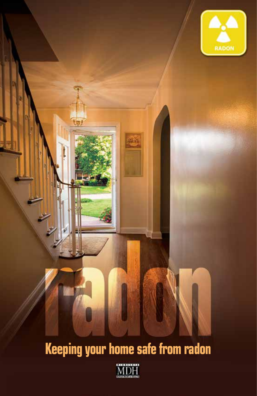

# **Keeping your home safe from radon**

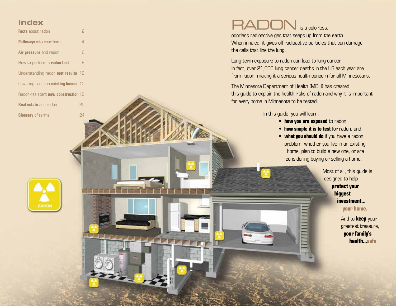# **index**

| Facts about radon                   | p  |
|-------------------------------------|----|
| <b>Pathways</b> into your home      | 4  |
| Air pressure and radon              | 6  |
| How to perform a radon test         | 8  |
| Understanding radon test results 10 |    |
| Lowering radon in existing homes 12 |    |
| Radon-resistant new construction 16 |    |
| <b>Real estate</b> and radon        | 20 |
| <b>Glossary of terms</b>            | 24 |

# $\mathsf{BAD}\nolimits$  is a colorless.

odorless radioactive gas that seeps up from the earth. When inhaled, it gives off radioactive particles that can damage the cells that line the lung.

Long-term exposure to radon can lead to lung cancer. In fact, over 21,000 lung cancer deaths in the US each year are from radon, making it a serious health concern for all Minnesotans.

The Minnesota Department of Health (MDH) has created this guide to explain the health risks of radon and why it is important for every home in Minnesota to be tested.

In this guide, you will learn:

**• how you are exposed** to radon

**DO RELEVERED** 

- **how simple it is to test** for radon, and
- home, plan to build a new one, or are **• what you should do** if you have a radon problem, whether you live in an existing considering buying or selling a home.

 Most of all, this guide is designed to help **protect your biggest investment... your home.** 

> And to **keep** your greatest treasure,  **your family's health...safe**.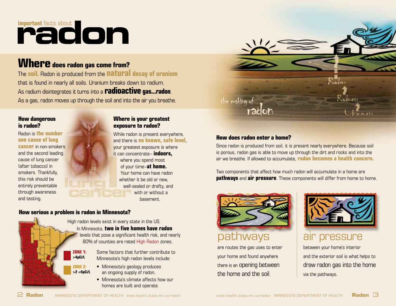# **important** facts about

# **Where** does radon gas come from?

 The **soil.** Radon is produced from the **natural decay of uranium** that is found in nearly all soils. Uranium breaks down to radium. As radium disintegrates it turns into a **radioactive gas...radon**. As a gas, radon moves up through the soil and into the air you breathe.

and testing. The contract of the contract of the contract of the contract of the contract of the contract of the contract of the contract of the contract of the contract of the contract of the contract of the contract of t

# **How dangerous Where is your greatest is radon? exposure to radon?**

 Radon is **the number** While radon is present everywhere, (after tobacco) in of your time–**at home.**  this risk should be whether it be old or new, **one cause of lung**<br> **by and there is <b>no known, safe level,**<br> **cancer** in non-smokers **vour greatest exposure is where** and the second leading **in the second second second second second second second second second second second second** cause of lung cancer where you spend most smokers. Thankfully, Thankfully, The Contract of the Your home can have radon entirely preventable well-sealed or drafty, and through awareness with or without a

# **How serious a problem is radon in Minnesota?**



High radon levels exist in every state in the US. In Minnesota, **two in five homes have radon**  levels that pose a significant health risk, and nearly 80% of counties are rated High Radon zones.

**ZONE 1:** Some factors that further contribute to <br> **SADCIL** Minnesota's bigh paden loyels include: Minnesota's high radon levels include:

- **ZONE 2:**  Minnesota's geology produces **>2 <4pCi/L** an ongoing supply of radon.
	- Minnesota's climate affects how our homes are built and operate.



# **How does radon enter a home?**

Since radon is produced from soil, it is present nearly everywhere. Because soil is porous, radon gas is able to move up through the dirt and rocks and into the air we breathe. If allowed to accumulate, **radon becomes a health concern.** 

Two components that affect how much radon will accumulate in a home are **pathways** and **air pressure**. These components will differ from home to home.



are routes the gas uses to enter between your home's interior the home and the soil. via the pathways.



pathways air pressure

your home and found anywhere and the exterior soil is what helps to there is an opening between  $\parallel$  draw radon gas into the home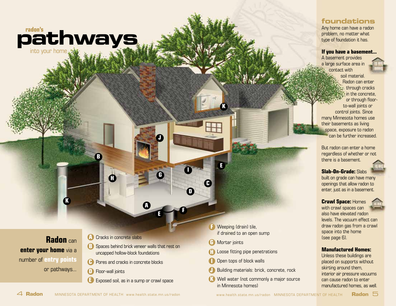

**K** 

**Radon** can **enter your home** via a number of **entry points**  or pathways...

- **A** Cracks in concrete slabs
- **B** Spaces behind brick veneer walls that rest on uncapped hollow-block foundations

**G** 

**A** 

**<sup>E</sup><sup>F</sup>**

**J** 

- **C** Pores and cracks in concrete blocks
- **D** Floor-wall joints
- **E** Exposed soil, as in a sump or crawl space
- **F**  Weeping (drain) tile, if drained to an open sump
- **G**  Mortar joints

**C** 

**<sup>I</sup><sup>E</sup>**

**D** 

**K** 

- **H** Loose fitting pipe penetrations
- **I**  Open tops of block walls
- **J**  Building materials: brick, concrete, rock
- **K**  Well water (not commonly a major source in Minnesota homes)

# **foundations**

Any home can have a radon problem, no matter what type of foundation it has.

## **If you have a basement...**

A basement provides a large surface area in contact with soil material. Radon can enter through cracks in the concrete, or through floorto-wall joints or control joints. Since many Minnesota homes use their basements as living space, exposure to radon can be further increased.

But radon can enter a home regardless of whether or not there is a basement.



**Slab-On-Grade:** Slabs

built on grade can have many openings that allow radon to enter, just as in a basement.

# **Crawl Space:** Homes

 draw radon gas from a crawl with crawl spaces can also have elevated radon levels. The vacuum effect can space into the home (see page 6).

## **Manufactured Homes:**

Unless these buildings are placed on supports without skirting around them, interior air pressure vacuums can cause radon to enter manufactured homes, as well.

**B** 

4 **Radon** MINNESOTA DEPARTMENT OF HEALTH www.health.state.mn.us/radon www.health.state.mn.us/radon MINNESOTA DEPARTMENT OF HEALTH **Radon** 5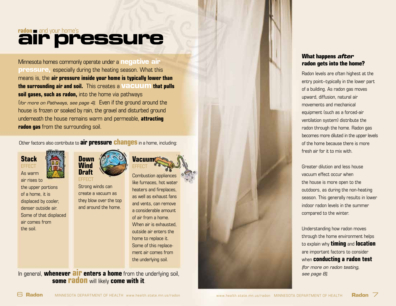# **air pressure**

 house is frozen or soaked by rain, the gravel and disturbed ground Minnesota homes commonly operate under a **negative air pressure, especially during the heating season. What this** means is, the **air pressure inside your home is typically lower than the surrounding air and soil.** This creates a **vacuum that pulls soil gases, such as radon,** into the home via pathways (*for more on Pathways, see page 4).* Even if the ground around the underneath the house remains warm and permeable, **attracting radon gas** from the surrounding soil.

Other factors also contribute to **air pressure changes** in a home, including:



air rises to the upper portions Some of that displaced of air from a home. air comes from



but only whiles can<br>create a vacuum as<br> $\frac{1}{2}$  heaters and fireplaces, of a home, it is create a vacuum as as well as exhaust fans<br>displaced by cooler, they blow over the top and vente esp remove. displaced by cooler;<br>denser outside air. and around the home. The serve ideas is a remove



**Litted**<br>Strong winds can<br>All the furnaces, hot water a considerable amount. When air is exhausted. the soil. **Contract the solution of the solution of the solution** of the solution of the solution of the solution of the solution of the solution of the solution of the solution of the solution of the solution of the solut home to replace it. Some of this replacement air comes from the underlying soil.

In general, **whenever air enters a home** from the underlying soil, **some radon** will likely **come with it**.

# **What happens** *after*  **radon gets into the home?**

Radon levels are often highest at the entry point–typically in the lower part of a building. As radon gas moves upward, diffusion, natural air movements and mechanical equipment (such as a forced-air ventilation system) distribute the radon through the home. Radon gas becomes more diluted in the upper levels of the home because there is more fresh air for it to mix with.

Greater dilution and less house vacuum effect occur when the house is more open to the outdoors, as during the non-heating season. This generally results in lower indoor radon levels in the summer compared to the winter.

Understanding how radon moves through the home environment helps to explain why **timing** and **location**  are important factors to consider when **conducting a radon test**  *(for more on radon testing, see page 8).*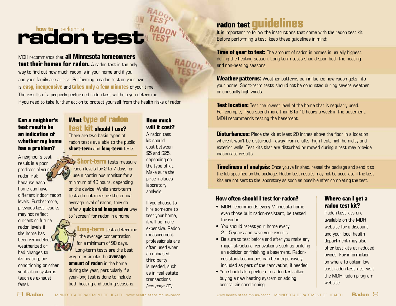# radontest

# MDH recommends that **all Minnesota homeowners**

 **test their homes for radon.** A radon test is the only way to find out how much radon is in your home and if you and your family are at risk. Performing a radon test on your own is **easy, inexpensive** and **takes only a few minutes** of your time. The results of a properly performed radon test will help you determine if you need to take further action to protect yourself from the health risks of radon.

# **Can a neighbor's test results be an indication of whether my home has a problem?**

A neighbor's test result is a poor predictor of your radon risk because each home can have different indoor radon levels. Furthermore, previous test results may not reflect current or future radon levels if the home has been remodeled, weatherized or had changes to its heating, air conditioning or other ventilation systems (such as exhaust fans).

# **What type of radon test kit should I use?**

There are two basic types of radon tests available to the public, **short-term** and **long-term** tests.

 **Short-term** tests measure radon levels for 2 to 7 days, or use a continuous monitor for a minimum of 48 hours, depending on the device. While short-term tests do not measure the annual average level of radon, they do offer a **quick and inexpensive** way to "screen" for radon in a home.

 **Long-term** tests determine the average concentration for a minimum of 90 days. Long-term tests are the best way to estimate the **average amount of radon** in the home during the year, particularly if a year-long test is done to include both heating and cooling seasons.

**will it cost?**  A radon test kit should cost between \$5 and \$25, depending on the type of kit. Make sure the price includes laboratory analysis.

**How much** 

 transactions If you choose to hire someone to test your home, it will be more expensive. Radon measurement professionals are often used when an unbiased, third party is needed, such as in real estate *(see page 20).* 

# **radon test guidelines**

It is important to follow the instructions that come with the radon test kit. Before performing a test, keep these guidelines in mind:

**Time of year to test:** The amount of radon in homes is usually highest during the heating season. Long-term tests should span both the heating and non-heating seasons.

**Weather patterns:** Weather patterns can influence how radon gets into your home. Short-term tests should not be conducted during severe weather or unusually high winds.

**Test location:** Test the lowest level of the home that is regularly used. For example, if you spend more than 8 to 10 hours a week in the basement, MDH recommends testing the basement.

**Disturbances:** Place the kit at least 20 inches above the floor in a location where it won't be disturbed-- away from drafts, high heat, high humidity and exterior walls. Test kits that are disturbed or moved during a test may provide inaccurate results.

**Timeliness of analysis:** Once you've finished, reseal the package and send it to the lab specified on the package. Radon test results may not be accurate if the test kits are not sent to the laboratory as soon as possible after completing the test.

# **How often should I test for radon?**

- MDH recommends every Minnesota home. even those built radon-resistant, be tested for radon.
- You should retest your home every 2 – 5 years and save your results.
- • Be sure to test before and after you make any major structural renovations such as building an addition or finishing a basement. Radonresistant techniques can be inexpensively included as part of the renovation, if needed.
- You should also perform a radon test after buying a new heating system or adding central air conditioning.

# **Where can I get a radon test kit?**

Radon test kits are available on the MDH website for a discount and your local health department may also offer test kits at reduced prices. For information on where to obtain low cost radon test kits, visit the MDH radon program website.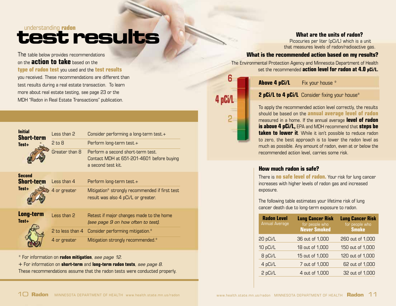# **understanding radon**

 **type of radon test** you used and the **test results** The table below provides recommendations on the **action to take** based on the you received. These recommendations are different than test results during a real estate transaction. To learn more about real estate testing, see page 23 or the MDH "Radon in Real Estate Transactions" publication.

| <b>Initial</b><br><b>Short-term</b><br>Test+ | Less than 2<br>$2 \text{ to } 8$<br>Greater than 8 | Consider performing a long-term test.+<br>Perform long-term test.+<br>Perform a second short-term test.<br>Contact MDH at 651-201-4601 before buying<br>a second test kit. |
|----------------------------------------------|----------------------------------------------------|----------------------------------------------------------------------------------------------------------------------------------------------------------------------------|
| <b>Second</b><br><b>Short-term</b><br>Test+  | Less than 4<br>4 or greater                        | Perform long-term test.+<br>Mitigation* strongly recommended if first test<br>result was also 4 pCi/L or greater.                                                          |
| Long-term<br>Test+                           | Less than 2<br>2 to less than 4                    | Retest if major changes made to the home<br>(see page 9 on how often to test).<br>Consider performing mitigation.*                                                         |
|                                              | 4 or greater                                       | Mitigation strongly recommended.*                                                                                                                                          |

\* For information on **radon mitigation**, *see page 12.* 

+ For information on **short-term** and **long-term radon tests**, *see page 8.* 

These recommendations assume that the radon tests were conducted properly.

# **What are the units of radon?**

 Picocuries per liter (pCi/L) which is a unit that measures levels of radon/radioactive gas.

# **What is the recommended action based on my results?**

The Environmental Protection Agency and Minnesota Department of Health set the recommended **action level for radon at 4.0 pCi/L.** 

**Above 4 pCi/L** Fix your house \*

6

4 pCi/L

# **2 pCi/L to 4 pCi/L** Consider fixing your house\*

To apply the recommended action level correctly, the results should be based on the **annual average level of radon**  measured in a home. If the annual average **level of radon is above 4 pCi/L,** EPA and MDH recommend that **steps be taken to lower it**. While it isn't possible to reduce radon to zero, the best approach is to lower the radon level as much as possible. Any amount of radon, even at or below the recommended action level, carries some risk.

# **How much radon is safe?**

There is **no safe level of radon.** Your risk for lung cancer increases with higher levels of radon gas and increased exposure.

The following table estimates your lifetime risk of lung cancer death due to long-term exposure to radon.

| <b>Radon Level</b><br><b>Annual Average</b> | <b>Lung Cancer Risk</b><br>for people who<br><b>Never Smoked</b> | <b>Lung Cancer Risk</b><br>for people who<br><b>Smoke</b> |
|---------------------------------------------|------------------------------------------------------------------|-----------------------------------------------------------|
| 20 pCi/L                                    | 36 out of 1,000                                                  | 260 out of 1,000                                          |
| 10 pCi/L                                    | 18 out of 1,000                                                  | 150 out of 1,000                                          |
| 8 pCi/L                                     | 15 out of 1,000                                                  | 120 out of 1,000                                          |
| 4 pCi/L                                     | 7 out of 1,000                                                   | 62 out of 1,000                                           |
| 2 pCi/L                                     | 4 out of 1,000                                                   | 32 out of 1,000                                           |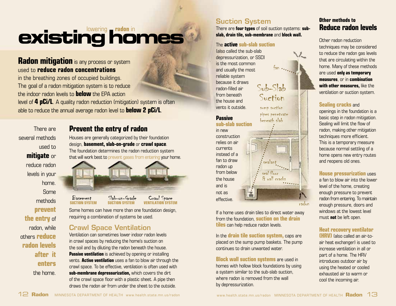# **existing homes**

# **Radon mitigation** is any process or system used to **reduce radon concentrations**

 level of **4 pCi/L**. A quality radon reduction (mitigation) system is often in the breathing zones of occupied buildings. The goal of a radon mitigation system is to reduce the indoor radon levels to **below** the EPA action able to reduce the annual average radon level to **below 2 pCi/L**.

There are several methods used to **mitigate** or reduce radon levels in your home. Some methods **prevent the entry** of radon, while others **reduce radon levels after it enters**  the home.



Houses are generally categorized by their foundation design, **basement, slab-on-grade** or **crawl space**. The foundation determines the radon reduction system that will work best to prevent gases from entering your home.



Basement Slab-on-Grade Crawl Space **SuCTION SySTEM SuCTION SySTEM VENTILATION SySTEM** 

Some homes can have more than one foundation design, requiring a combination of systems be used.

# Crawl Space Ventilation

Ventilation can sometimes lower indoor radon levels in crawl spaces by reducing the home's suction on the soil and by diluting the radon beneath the house. **Passive ventilation** is achieved by opening or installing vents. **Active ventilation** uses a fan to blow air through the crawl space. To be effective, ventilation is often used with **sub-membrane depressurization,** which covers the dirt of the crawl space floor with a plastic sheet. A pipe then draws the radon air from under the sheet to the outside.

# Suction System

There are **four types** of soil suction systems: **subslab, drain tile, sub-membrane** and **block wall.** 

# The **active sub-slab suction**

 vents it outside. sump suction (also called the sub-slab depressurization, or SSD) is the most common<br>and usually the most reliable system because it draws radon-filled air<br>from heneath from beneath Suction

# pipes penetrate **Passive** beneath slab **sub-slab suction**

in new construction relies on air currents instead of a fan to draw radon up from below  $\frac{1}{\sqrt{3}}$  seal floor<br>the house  $\frac{1}{\sqrt{3}}$  wall em and is not as effective.

If a home uses drain tiles to direct water away from the foundation, **suction on the drain tiles** can help reduce radon levels.

 $\delta$  wall cracks

In the **drain tile suction system,** caps are placed on the sump pump baskets. The pump continues to drain unwanted water.

**Block wall suction systems** are used in homes with hollow block foundations by using a system similar to the sub-slab suction, where radon is removed from the wall by depressurization.

# **Other methods to Reduce radon levels**

Other radon reduction techniques may be considered to reduce the radon gas levels that are circulating within the home. Many of these methods are used **only as temporary measures**, or in **combination with other measures,** like the ventilation or suction system.

# **Sealing cracks** and

openings in the foundation is a basic step in radon mitigation. Sealing will limit the flow of radon, making other mitigation techniques more efficient. This is a temporary measure because normal settling of a home opens new entry routes and reopens old ones.

## **House pressurization** uses a fan to blow air into the lower level of the home, creating enough pressure to prevent radon from entering. To maintain enough pressure, doors and windows at the lowest level must **not** be left open.

# **Heat recovery ventilator**

cool the incoming air. **(HRV)** (also called an air-toair heat exchanger) is used to increase ventilation in all or part of a home. The HRV introduces outdoor air by using the heated or cooled exhausted air to warm or

radon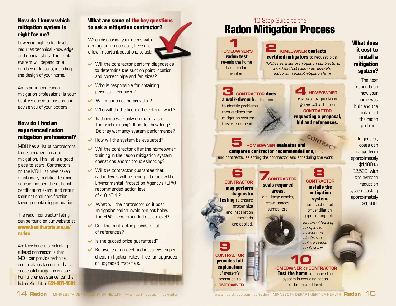# **How do I know which mitigation system is right for me?**

Lowering high radon levels requires technical knowledge and special skills. The right system will depend on a number of factors, including the design of your home.

An experienced radon mitigation professional is your best resource to assess and advise you of your options.

# **How do I find an experienced radon mitigation professional?**

MDH has a list of contractors that specialize in radon mitigation. This list is a good place to start. Contractors on the MDH list have taken a nationally-certified training course, passed the national certification exam, and retain their national certification through continuing education.

The radon contractor listing can be found on our website at: www.health state mn us/ **radon** 

Another benefit of selecting a listed contractor is that MDH can provide technical consultations to ensure that a successful mitigation is done. For further assistance, call the Indoor Air Unit at **651-201-4601**.

# **What are some of the key questions to ask a mitigation contractor?**

When discussing your needs with a mitigation contractor, here are a few important questions to ask:



- **▼** Will the contractor perform diagnostics to determine the suction point location and correct pipe and fan sizes?
- $\vee$  Who is responsible for obtaining permits, if required?
- $\vee$  Will a contract be provided?
- Who will do the licensed electrical work?
- $\blacktriangleright$  Is there a warranty on materials or the workmanship? If so, for how long? Do they warranty system performance?
- $\vee$  How will the system be evaluated?
- $\blacktriangleright$  Will the contractor offer the homeowner training in the radon mitigation system operations and/or troubleshooting?
- $\blacktriangleright$  Will the contractor guarantee that radon levels will be brought to below the Environmental Protection Agency's (EPA) recommended action level of 4.0 pCi/L?
- $\vee$  What will the contractor do if post mitigation radon levels are not below the EPA's recommended action level?
- $\triangleright$  Can the contractor provide a list of references?
- $\vee$  Is the quoted price guaranteed?
- $\vee$  Be aware of un-certified installers, super cheap mitigation rates, free fan upgrades or upgraded materials.

# 10 Step Guide to the **Radon Mitigation Process**



to identify problems then outlines the mitigation system they recommend.

**3** ContraCtor **does a walk-through** of the home

J

# **2**Homeowner **contacts**

**certified mitigators** to request bids. *\*MDH has a list of mitigation contractors: www.health.state.mn.us/divs/eh/ indoorair/radon/mitigation.html* 

# **4** Homeowner reviews key questions *(page 14)* with each

# **requesting a proposal, bid and references.**

**CONTRACTOR** 

**5** Homeowner **evaluates and compares contractor recommendations**, bids RACT and contracts, selecting the contractor and scheduling the work.

**areas, mitigation areas, mitigation isolation testing** to ensure e.g., large cracks, **crawl spaces, i.e., suction pit** and installation sumps, etc. or ventillation, methods are applied.

**9 CONTRACTOR provides full explanation** of system's operation to **HOMEOWNER** 

# **6 7 8 CONTRACTOR CONTRACTOR Seals required CONTRACTOR**<br>
may perform seals required installs the<br>
diagnostic areas, mitigation

pipe routing, etc. *Electrical hook-up completed* 

> *by licensed electrician, not a licensed contractor*

# **10 <b>10 PROPER OF CONTRACTOR Test the home** to ensure the system is reducing radon to the desired level.

14 Radon MINNESOTA DEP **ENT OF HEALTH www.health.state.mn.us/radon**  www.health.state.mn.us/radon MINNESOTA DEPARTMENT OF HEALTH **Radon** 15

extent of the radon problem. In general, costs can range from

approximately \$1,100 to \$2,500, with the average reduction system costing approximately \$1,500.

**What does it cost to install a mitigation system?**  The cost depends on how your home was built and the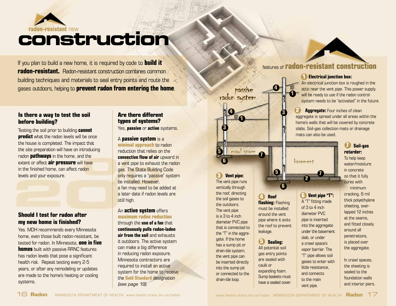# **radon-resistant** new **construction**

 **radon-resistant.** Radon-resistant construction combines common If you plan to build a new home, it is required by code to **build it**  building techniques and materials to seal entry points and route the gases outdoors, helping to **prevent radon from entering the home**.

# **Is there a way to test the soil before building?**

Testing the soil prior to building **cannot predict** what the radon levels will be once the house is completed. The impact that the site preparation will have on introducing radon **pathways** in the home, and the extent or affect **air pressure** will have in the finished home, can affect radon levels and your exposure.

# **Should I test for radon after my new home is finished?**

Yes. MDH recommends every Minnesota home, even those built radon-resistant, be tested for radon. In Minnesota, **one in five homes** built with passive RRNC features has radon levels that pose a significant health risk. Repeat testing every 2-5 years, or after any remodeling or updates are made to the home's heating or cooling systems.

# **Are there different types of systems?**

Yes, **passive** or **active** systems.

### A **passive system** is a **minimal approach** to radon reduction that relies on the **convective flow of air** upward in a vent pipe to exhaust the radon gas. The State Building Code only requires a "passive" system be installed. However, a fan may need to be added at a later date if radon levels are still high.

An **active system** offers **maximum radon reduction**  through the **use of a fan** that **continuously pulls radon-laden air from the soil** and exhausts it outdoors. The active system can make a big difference in reducing radon exposure. Minnesota contractors are required to install an active system for the home to receive the **Gold Standard** designation *(see page 19).* 

# passive<br>radon system **1 3 4 5** crawl space j **6 Electrical junction box:**<br> **Passive**<br> **Passive**<br> **Passive action system**<br> **Passive action system**<br> **Passive action system needs to be "activated system needs to be "activated system needs to be "activated system needs to 7**

 the roof, directing **3 Vent pipe:**  The vent pipe runs vertically through the soil gases to **4 Roof**<br>the outdoors. **flashing:** Flashing  $A^T$  fitting m<br>The yest pipe must be installed of 3 to 4 inch The vent pipe  $\begin{array}{|l|c|c|c|c|}\n\hline\n\text{The vent pipe} & \text{must be installed} & \text{of 3 to 4 inch} \\
\text{is a 3 to 4 inch} & \text{around the vent} & \text{diameter PVC}\n\hline\n\end{array}$ diameter PVC pipe<br>that is connected to the roof to prevent into the aggregate Leakage.<br>
the "T" in the aggre-<br>
arts the basement<br>
also contribute the basement<br>
also contribute the basement gate. If the home<br>
has a sump pit or<br>
drain-tile system,<br>
be inserted directly<br>
into the sump pit<br>
or connected to the<br>
drain-tile loop.<br>
are sealed with<br>
are sealed with<br>
caulk or<br>
caulk or<br>
sump baskets must<br>
drain-tile

**6** Sealing:

**4** 

**5** 

**6** 

**1** 

**3** 

# features of **radon-resistant construction**

An electrical junction box is roughed in the attic near the vent pipe. This power supply will be ready to use if the radon control system needs to be "activated" in the future.

**Aggregate:** Four inches of clean aggregate is spread under all areas within the home's walls that will be covered by concrete slabs. Soil-gas collection mats or drainage **2**  mats can also be used.

# basement **7**

**2** 

**B Vent pipe "T":**<br>A "T" fitting made

# **So 7 il-gas retarder:**

To help keep water/moisture in concrete so that it fully cures with minimum cracking, 6 mil thick polyethylene sheeting, overlapped 12 inches at the seams, and fitted closely around all penetrations, is placed over the aggregate.

In crawl spaces, the sheeting is sealed to the foundation walls and interior piers.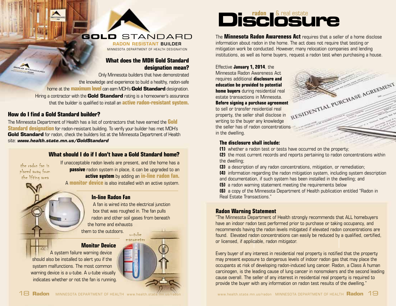# **gold** stANDARD

radon reSiStant builder MINNESOTA DEPARTMENT OF HEALTH DESIGNATION

# **What does the MDH Gold Standard designation mean?**

Only Minnesota builders that have demonstrated the knowledge and experience to build a healthy, radon-safe home at the **maximum level** can earn MDH's **Gold Standard** designation. Hiring a contractor with the **Gold Standard** rating is a homeowner's assurance that the builder is qualified to install an **active radon-resistant system.** 

# **How do I find a Gold Standard builder?**

 **Gold Standard** for radon, check the builders list at the Minnesota Department of Health The Minnesota Department of Health has a list of contractors that have earned the **Gold Standard designation** for radon-resistant building. To verify your builder has met MDH's site: *www.health.state.mn.us/GoldStandard* 

# **What should I do if I don't have a Gold Standard home?**

**BOLD** 

TANDARD

If unacceptable radon levels are present, and the home has a placed away from **passive** radon system in place, it can be upgraded to an the lifting area **active system** by adding an **in-line radon fan. active system** by adding an **in-line radon fan.** 

A **monitor device** is also installed with an active system.

# **In-line Radon Fan**

A fan is wired into the electrical junction box that was roughed in. The fan pulls radon and other soil gases from beneath the home and exhausts them to the outdoors.  $u = tube$ 

manometer

**Monitor Device** 

A system failure warning device should also be installed to alert you if the system malfunctions. The most common warning device is a u-tube. A u-tube visually indicates whether or not the fan is running.

# Disclosure

The **Minnesota Radon Awareness Act** requires that a seller of a home disclose information about radon in the home. The act does not require that testing or mitigation work be conducted. However, many relocation companies and lending institutions, as well as home buyers, request a radon test when purchasing a house.

# Effective **January 1, 2014**, the

Minnesota Radon Awareness Act requires additional **disclosure and education be provided to potential**  estate transactions in Minnesota. **Before signing a purchase agreement**  to sell or transfer residential real property, the seller shall disclose in writing to the buyer any knowledge the seller has of radon concentrations in the dwelling.



# **The disclosure shall include:**

**(1)** whether a radon test or tests have occurred on the property;

**(2)** the most current records and reports pertaining to radon concentrations within the dwelling;

**(3)** a description of any radon concentrations, mitigation, or remediation;

**(4)** information regarding the radon mitigation system, including system description and documentation, if such system has been installed in the dwelling; and

**(5)** a radon warning statement meeting the requirements below

**(6)** a copy of the Minnesota Department of Health publication entitled "Radon in Real Estate Transactions."

# **Radon Warning Statement**

"The Minnesota Department of Health strongly recommends that ALL homebuyers have an indoor radon test performed prior to purchase or taking occupancy, and recommends having the radon levels mitigated if elevated radon concentrations are found. Elevated radon concentrations can easily be reduced by a qualified, certified, or licensed, if applicable, radon mitigator.

Every buyer of any interest in residential real property is notified that the property may present exposure to dangerous levels of indoor radon gas that may place the occupants at risk of developing radon-induced lung cancer. Radon, a Class A human carcinogen, is the leading cause of lung cancer in nonsmokers and the second leading cause overall. The seller of any interest in residential real property is required to provide the buyer with any information on radon test results of the dwelling."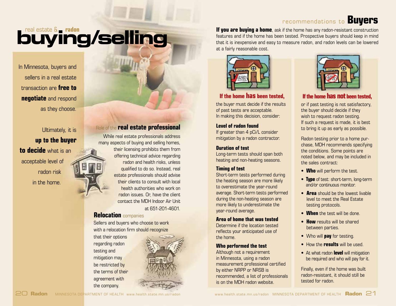# recommendations to **Buyers**

# real estate & **radon buying/selling**

In Minnesota, buyers and sellers in a real estate transaction are **free to negotiate** and respond as they choose.

Ultimately, it is **up to the buyer to decide** what is an acceptable level of radon risk in the home.

# Role of the **real estate professional**

While real estate professionals address many aspects of buying and selling homes, their licensing prohibits them from offering technical advice regarding radon and health risks, unless qualified to do so. Instead, real estate professionals should advise their clients to consult with local health authorities who work on radon issues. Or, have the client contact the MDH Indoor Air Unit at 651-201-4601.

# **Relocation** companies

Sellers and buyers who choose to work with a relocation firm should recognize

that their options regarding radon testing and mitigation may be restricted by the terms of their agreement with the company.



**If you are buying a home**, ask if the home has any radon-resistant construction features and if the home has been tested. Prospective buyers should keep in mind that it is inexpensive and easy to measure radon, and radon levels can be lowered at a fairly reasonable cost.



# **If the home has been tested,**

the buyer must decide if the results of past tests are acceptable. In making this decision, consider:

### **Level of radon found**

If greater than 4 pCi/L consider mitigation by a radon contractor.

### **Duration of test**

Long-term tests should span both heating and non-heating seasons.

# **Timing of test**

 during the non-heating season are Short-term tests performed during the heating season are more likely to overestimate the year-round average. Short-term tests performed more likely to underestimate the year-round average.

## **Area of home that was tested**

Determine if the location tested reflects your anticipated use of the home.

### **Who performed the test**

Although not a requirement in Minnesota, using a radon measurement professional certified by either NRPP or NRSB is recommended, a list of professionals is on the MDH radon website.



# **If the home has not been tested,**

or if past testing is not satisfactory, the buyer should decide if they wish to request radon testing. If such a request is made, it is best to bring it up as early as possible.

Radon testing prior to a home purchase, MDH recommends specifying the conditions. Some points are noted below, and may be included in the sales contract:

- **Who** will perform the test.
- **Type** of test: short-term, long-term and/or continuous monitor.
- **Area** should be the lowest livable level to meet the Real Estate testing protocols.
- **When** the test will be done.
- • **How** results will be shared between parties.
- Who will **pay** for testing.
- How the **results** will be used.
- At what radon **level** will mitigation be required and who will pay for it.

Finally, even if the home was built radon-resistant, it should still be tested for radon.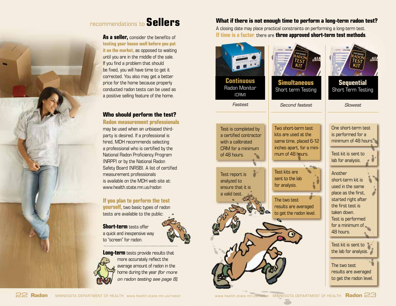# recommendations to **Sellers**

 **testing your house well before you put As a seller,** consider the benefits of **it on the market,** as opposed to waiting until you are in the middle of the sale. If you find a problem that should be fixed, you will have time to get it corrected. You also may get a better price for the home because properly conducted radon tests can be used as a positive selling feature of the home.

# **Who should perform the test?**

 **Radon measurement professionals** may be used when an unbiased thirdparty is desired. If a professional is hired, MDH recommends selecting a professional who is certified by the National Radon Proficiency Program (NRPP) or by the National Radon Safety Board (NRSB). A list of certified measurement professionals is available on the MDH web site at: www.health.state.mn.us/radon

# **If you plan to perform the test**

**yourself,** two basic types of radon tests are available to the public:

 **Short-term** tests offer a quick and inexpensive way to "screen" for radon.



**Long-term** tests provide results that more accurately reflect the average amount of radon in the home during the year *(for more on radon testing see page 8).* 

# **What if there is not enough time to perform a long-term radon test?**

A closing date may place practical constraints on performing a long-term test. **If time is a factor**, there are **three approved short-term test methods**.

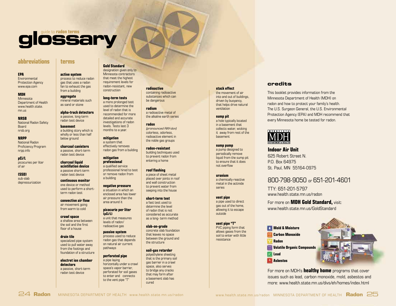# glossary

**terms** 

**active system** 

from a building

**aggregate**  mineral materials such as sand or stone **alpha-track detectors**  a passive, long-term radon test device **basement**  a building story which is wholly or less than half below ground

### **abbreviations**

#### **EPA**

**Environmental** Protection Agency www.epa.com

#### **MDH**  Minnesota Department of Health www.health.state. mn.us

**NRSB**  National Radon Safety **Board** nrsb.org

**NRPP**  National Radon Proficiency Program nrpp.info

**pCi/L**  picocuries per liter of air

**(SSD)**  sub-slab depressurization

#### **convective air flow**  air movement going from warm to cold

**charcoal canisters**  a passive, short-term radon test device **charcoal liquid scintillation device** 

a passive short-term radon test device **continuous monitor** 

**crawl space**  a shallow area between the soil and the first floor of a house

**drain tile**  specialized pipe system used to pull water away from the footings and foundation of a structure

#### **electret ion chamber detectors**  a passive, short-term radon test device

### **Gold Standard**

designation given only to process to reduce radon Minnesota contractors that meet the highest<br>requirement levels for gas that uses a radon fan to exhaust the gas radon-resistant, new construction **radioactive** 

#### **long-term tests**

a more prolonged test used to determine the level of radon that is recommended for more detailed and accurate investigations of radon

levels. Tests last 3 months to a year.

**mitigation**  a system that effectively removes radon gas from a building

**mitigation professional**  a qualified service professional hired to test or remove radon from a building

**negative pressure**  a situation in which an enclosed area has lower air pressure than the area around it

### **picocurie per liter (pCi/L)**

a unit that measures levels of radon/ radioactive gas

**passive system** 

process used to reduce radon gas that depends on natural air current pathways

## **perforated pipe**

a pipe laying horizontally under a crawl space's vapor barrier, perforated for soil gases to enter and connects to the vent pipe "T"

containing radioactive substances which can be dangerous

**radium**  a radioactive metal of the alkaline earth series

**radon**  *(pronounced RAY-don)*  colorless, odorless, radioactive element in the noble gas groups

**radon-resistant**  building techniques used to prevent radon from entering a home

**roof flashing**  placed over joints in roof and wall construction to prevent water from seeping into the house

**short-term test**  a fast test used to determine the level of radon that is not considered as accurate as a long- term method

**slab-on-grade**  concrete slab foundation that leaves no space between the ground and the structure

#### **soil-gas retarder**

polyethylene sheeting that is the primary soil gas barrier in a crawl space, also serves to bridge any cracks that may form after a basement slab has cured

#### **stack effect**  the movement of air

into and out of buildings, driven by buoyancy, that helps drive natural ventilation

#### **sump pit**

a hole typically located in a basement that collects water, wicking it away from rest of the basement

**sump pump**  a pump designed to periodically remove liquid from the sump pit to ensure that it does not overflow

**uranium**  a chemically-reactive metal in the actinide series

### **vent pipe**

a pipe used to direct gas out of the home, allowing it to escape outside

**vent pipe "T"** 

PVC piping form that allows gases from the soil to enter with little resistance

**credits** 

This booklet provides information from the Minnesota Department of Health (MDH) on radon and how to protect your family's health. The U.S. Surgeon General, the U.S. Environmental Protection Agency (EPA) and MDH recommend that every Minnesota home be tested for radon.



**Indoor Air Unit** 625 Robert Street N. P.O. Box 64975 St. Paul, MN 55164-0975

# 800-798-9050 or 651-201-4601

TTY: 651-201-5797 www.health.state.mn.us/radon

#### For more on **MDH Gold Standard,** visit: www.health.state.mn.us/GoldStandard

**Mold & Moisture Carbon Monoxide Radon Volatile Organic Compounds Lead Asbestos** 



For more on MDH's **healthy home** programs that cover issues such as lead, carbon monoxide, mold, asbestos and more: www.health.state.mn.us/divs/eh/homes/index.html

#### one device or method used to perform a shortterm radon test